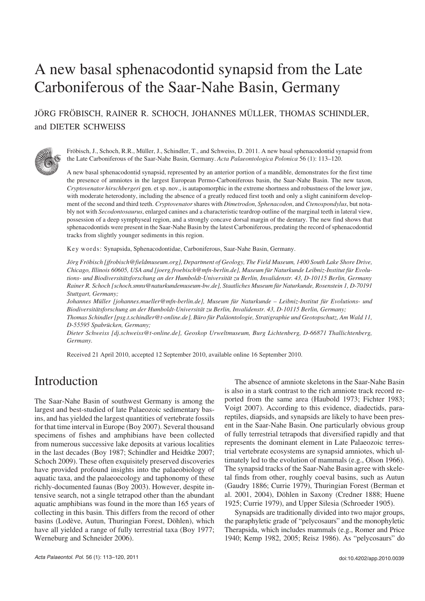# A new basal sphenacodontid synapsid from the Late Carboniferous of the Saar−Nahe Basin, Germany

JÖRG FRÖBISCH, RAINER R. SCHOCH, JOHANNES MÜLLER, THOMAS SCHINDLER, and DIETER SCHWEISS



Fröbisch, J., Schoch, R.R., Müller, J., Schindler, T., and Schweiss, D. 2011. A new basal sphenacodontid synapsid from the Late Carboniferous of the Saar−Nahe Basin, Germany. *Acta Palaeontologica Polonica* 56 (1): 113–120.

A new basal sphenacodontid synapsid, represented by an anterior portion of a mandible, demonstrates for the first time the presence of amniotes in the largest European Permo−Carboniferous basin, the Saar−Nahe Basin. The new taxon, *Cryptovenator hirschbergeri* gen. et sp. nov., is autapomorphic in the extreme shortness and robustness of the lower jaw, with moderate heterodonty, including the absence of a greatly reduced first tooth and only a slight caniniform development of the second and third teeth. *Cryptovenator*shares with *Dimetrodon*, *Sphenacodon*, and *Ctenospondylus*, but nota− bly not with *Secodontosaurus*, enlarged canines and a characteristic teardrop outline of the marginal teeth in lateral view, possession of a deep symphyseal region, and a strongly concave dorsal margin of the dentary. The new find shows that sphenacodontids were present in the Saar−Nahe Basin by the latest Carboniferous, predating the record of sphenacodontid tracks from slightly younger sediments in this region.

Key words: Synapsida, Sphenacodontidae, Carboniferous, Saar−Nahe Basin, Germany.

*Jörg Fröbisch [jfrobisch@fieldmuseum.org], Department of Geology, The Field Museum, 1400 South Lake Shore Drive, Chicago, Illinois 60605, USA and [joerg.froebisch@mfn−berlin.de], Museum für Naturkunde Leibniz−Institut für Evolu− tions− und Biodiversitätsforschung an der Humboldt−Universität zu Berlin, Invalidenstr. 43, D−10115 Berlin, Germany Rainer R. Schoch [schoch.smns@naturkundemuseum−bw.de], Staatliches Museum für Naturkunde, Rosenstein 1, D−70191 Stuttgart, Germany;*

*Johannes Müller [johannes.mueller@mfn−berlin.de], Museum für Naturkunde – Leibniz−Institut für Evolutions− und Biodiversitätsforschung an der Humboldt−Universität zu Berlin, Invalidenstr. 43, D−10115 Berlin, Germany; Thomas Schindler [psg.t.schindler@t−online.de], Büro für Paläontologie, Stratigraphie und Geotopschutz, Am Wald 11,*

*D−55595 Spabrücken, Germany; Dieter Schweiss [dj.schweiss@t−online.de], Geoskop Urweltmuseum, Burg Lichtenberg, D−66871 Thallichtenberg, Germany.*

Received 21 April 2010, accepted 12 September 2010, available online 16 September 2010.

## Introduction

The Saar−Nahe Basin of southwest Germany is among the largest and best−studied of late Palaeozoic sedimentary bas− ins, and has yielded the largest quantities of vertebrate fossils for that time interval in Europe (Boy 2007). Several thousand specimens of fishes and amphibians have been collected from numerous successive lake deposits at various localities in the last decades (Boy 1987; Schindler and Heidtke 2007; Schoch 2009). These often exquisitely preserved discoveries have provided profound insights into the palaeobiology of aquatic taxa, and the palaeoecology and taphonomy of these richly−documented faunas (Boy 2003). However, despite in− tensive search, not a single tetrapod other than the abundant aquatic amphibians was found in the more than 165 years of collecting in this basin. This differs from the record of other basins (Lodève, Autun, Thuringian Forest, Döhlen), which have all yielded a range of fully terrestrial taxa (Boy 1977; Werneburg and Schneider 2006).

The absence of amniote skeletons in the Saar−Nahe Basin is also in a stark contrast to the rich amniote track record re− ported from the same area (Haubold 1973; Fichter 1983; Voigt 2007). According to this evidence, diadectids, para− reptiles, diapsids, and synapsids are likely to have been pres− ent in the Saar−Nahe Basin. One particularly obvious group of fully terrestrial tetrapods that diversified rapidly and that represents the dominant element in Late Palaeozoic terres− trial vertebrate ecosystems are synapsid amniotes, which ul− timately led to the evolution of mammals (e.g., Olson 1966). The synapsid tracks of the Saar−Nahe Basin agree with skele− tal finds from other, roughly coeval basins, such as Autun (Gaudry 1886; Currie 1979), Thuringian Forest (Berman et al. 2001, 2004), Döhlen in Saxony (Credner 1888; Huene 1925; Currie 1979), and Upper Silesia (Schroeder 1905).

Synapsids are traditionally divided into two major groups, the paraphyletic grade of "pelycosaurs" and the monophyletic Therapsida, which includes mammals (e.g., Romer and Price 1940; Kemp 1982, 2005; Reisz 1986). As "pelycosaurs" do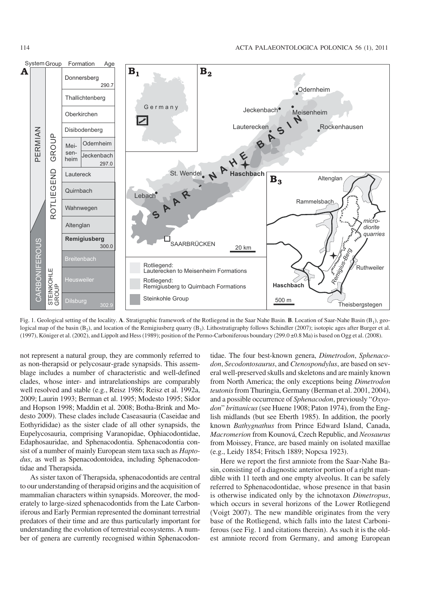

Fig. 1. Geological setting of the locality. **A**. Stratigraphic framework of the Rotliegend in the Saar Nahe Basin. **B**. Location of Saar−Nahe Basin (B1), geo− logical map of the basin  $(B_2)$ , and location of the Remigiusberg quarry  $(B_3)$ . Lithostratigraphy follows Schindler (2007); isotopic ages after Burger et al. (1997), Königer et al. (2002), and Lippolt and Hess (1989); position of the Permo−Carboniferous boundary (299.0 ±0.8 Ma) is based on Ogg et al. (2008).

not represent a natural group, they are commonly referred to as non−therapsid or pelycosaur−grade synapsids. This assem− blage includes a number of characteristic and well−defined clades, whose inter− and intrarelationships are comparably well resolved and stable (e.g., Reisz 1986; Reisz et al. 1992a, 2009; Laurin 1993; Berman et al. 1995; Modesto 1995; Sidor and Hopson 1998; Maddin et al. 2008; Botha−Brink and Mo− desto 2009). These clades include Caseasauria (Caseidae and Eothyrididae) as the sister clade of all other synapsids, the Eupelycosauria, comprising Varanopidae, Ophiacodontidae, Edaphosauridae, and Sphenacodontia. Sphenacodontia con− sist of a number of mainly European stem taxa such as *Hapto− dus*, as well as Spenacodontoidea, including Sphenacodon− tidae and Therapsida.

As sister taxon of Therapsida, sphenacodontids are central to our understanding of therapsid origins and the acquisition of mammalian characters within synapsids. Moreover, the mod− erately to large−sized sphenacodontids from the Late Carbon− iferous and Early Permian represented the dominant terrestrial predators of their time and are thus particularly important for understanding the evolution of terrestrial ecosystems. A num− ber of genera are currently recognised within Sphenacodon−

tidae. The four best−known genera, *Dimetrodon*, *Sphenaco− don*, *Secodontosaurus*, and *Ctenospondylus*, are based on sev− eral well−preserved skulls and skeletons and are mainly known from North America; the only exceptions being *Dimetrodon teutonis*from Thuringia, Germany (Berman et al. 2001, 2004), and a possible occurrence of *Sphenacodon*, previously "*Oxyo− don*" *brittanicus*(see Huene 1908; Paton 1974), from the Eng− lish midlands (but see Eberth 1985). In addition, the poorly known *Bathygnathus* from Prince Edward Island, Canada, *Macromerion* from Kounová, Czech Republic, and *Neosaurus* from Moissey, France, are based mainly on isolated maxillae (e.g., Leidy 1854; Fritsch 1889; Nopcsa 1923).

Here we report the first amniote from the Saar−Nahe Ba− sin, consisting of a diagnostic anterior portion of a right man− dible with 11 teeth and one empty alveolus. It can be safely referred to Sphenacodontidae, whose presence in that basin is otherwise indicated only by the ichnotaxon *Dimetropus*, which occurs in several horizons of the Lower Rotliegend (Voigt 2007). The new mandible originates from the very base of the Rotliegend, which falls into the latest Carboni− ferous (see Fig. 1 and citations therein). As such it is the old− est amniote record from Germany, and among European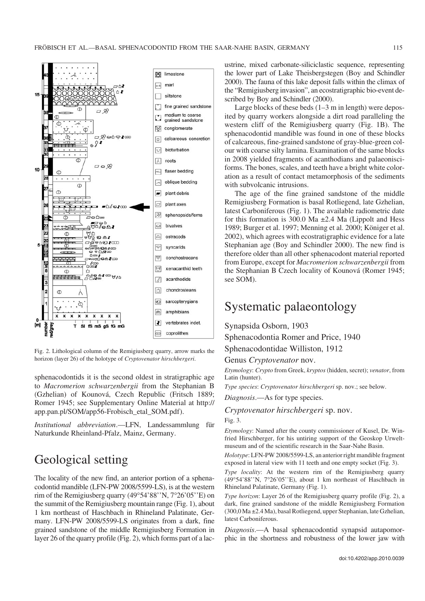

Fig. 2. Lithological column of the Remigiusberg quarry, arrow marks the horizon (layer 26) of the holotype of *Cryptovenator hirschbergeri*.

sphenacodontids it is the second oldest in stratigraphic age to *Macromerion schwarzenbergii* from the Stephanian B (Gzhelian) of Kounová, Czech Republic (Fritsch 1889; [Romer 1945; see Supplementary Online Material at http://](http://app.pan.pl/SOM/app56-Frobisch_etal_SOM.pdf) app.pan.pl/SOM/app56−Frobisch\_etal\_SOM.pdf).

*Institutional abbreviation*.—LFN, Landessammlung für Naturkunde Rheinland−Pfalz, Mainz, Germany.

## Geological setting

The locality of the new find, an anterior portion of a sphena− codontid mandible (LFN−PW 2008/5599−LS), is at the western codontid mandible (LFN-PW 2008/5599-LS), is at the western<br>rim of the Remigiusberg quarry (49°54'88''N, 7°26'05''E) on the summit of the Remigiusberg mountain range (Fig. 1), about 1 km northeast of Haschbach in Rhineland Palatinate, Ger− many. LFN−PW 2008/5599−LS originates from a dark, fine grained sandstone of the middle Remigiusberg Formation in layer 26 of the quarry profile (Fig. 2), which forms part of a lac− ustrine, mixed carbonate−siliciclastic sequence, representing the lower part of Lake Theisbergstegen (Boy and Schindler 2000). The fauna of this lake deposit falls within the climax of the "Remigiusberg invasion", an ecostratigraphic bio−event de− scribed by Boy and Schindler (2000).

Large blocks of these beds (1–3 m in length) were depos− ited by quarry workers alongside a dirt road paralleling the western cliff of the Remigiusberg quarry (Fig. 1B). The sphenacodontid mandible was found in one of these blocks of calcareous, fine−grained sandstone of gray−blue−green col− our with coarse silty lamina. Examination of the same blocks in 2008 yielded fragments of acanthodians and palaeonisci− forms. The bones, scales, and teeth have a bright white color− ation as a result of contact metamorphosis of the sediments with subvolcanic intrusions.

The age of the fine grained sandstone of the middle Remigiusberg Formation is basal Rotliegend, late Gzhelian, latest Carboniferous (Fig. 1). The available radiometric date for this formation is 300.0 Ma  $\pm$ 2.4 Ma (Lippolt and Hess 1989; Burger et al. 1997; Menning et al. 2000; Königer et al. 2002), which agrees with ecostratigraphic evidence for a late Stephanian age (Boy and Schindler 2000). The new find is therefore older than all other sphenacodont material reported from Europe, except for *Macromerion schwarzenbergii* from the Stephanian B Czech locality of Kounová (Romer 1945; see SOM).

### Systematic palaeontology

### Synapsida Osborn, 1903

Sphenacodontia Romer and Price, 1940

Sphenacodontidae Williston, 1912

#### Genus *Cryptovenator* nov.

*Etymology*: *Crypto* from Greek, *kryptos* (hidden, secret); *venator*, from Latin (hunter).

*Type species*: *Cryptovenator hirschbergeri* sp. nov.; see below.

*Diagnosis*.—As for type species.

### *Cryptovenator hirschbergeri* sp. nov. Fig. 3.

*Etymology*: Named after the county commissioner of Kusel, Dr. Win− fried Hirschberger, for his untiring support of the Geoskop Urwelt− museum and of the scientific research in the Saar−Nahe Basin.

*Holotype*: LFN−PW 2008/5599−LS, an anterior right mandible fragment exposed in lateral view with 11 teeth and one empty socket (Fig. 3).

*Type locality*: At the western rim of the Remigiusberg quarry Type locality: At the western rim of the Remigiusberg quarry (49°54'88''N, 7°26'05''E), about 1 km northeast of Haschbach in Rhineland Palatinate, Germany (Fig. 1).

*Type horizon*: Layer 26 of the Remigiusberg quarry profile (Fig. 2), a dark, fine grained sandstone of the middle Remigiusberg Formation (300,0 Ma ±2.4 Ma), basal Rotliegend, upper Stephanian, late Gzhelian, latest Carboniferous.

*Diagnosis*.—A basal sphenacodontid synapsid autapomor− phic in the shortness and robustness of the lower jaw with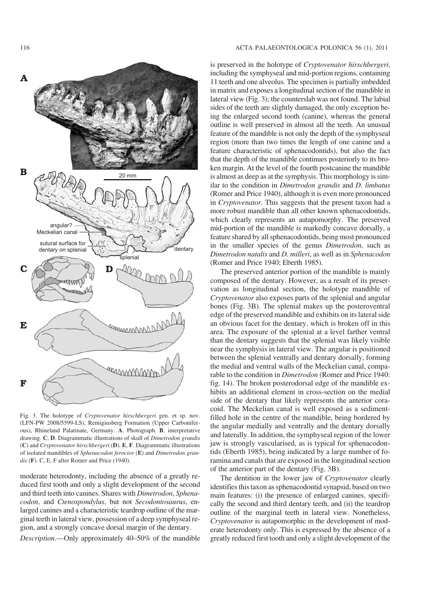

Fig. 3. The holotype of *Cryptovenator hirschbergeri* gen. et sp. nov. (LFN−PW 2008/5599−LS), Remigiusberg Formation (Upper Carbonifer− ous), Rhineland Palatinate, Germany. **A**. Photograph. **B**. interpretative drawing. **C**, **D**. Diagrammatic illustrations of skull of *Dimetrodon grandis* (**C**) and *Cryptovenator hirschbergeri* (**D**). **E**, **F**. Diagrammatic illustrations of isolated mandibles of *Sphenacodon ferocior* (**E**) and *Dimetrodon gran− dis* (**F**). C, E, F after Romer and Price (1940).

moderate heterodonty, including the absence of a greatly re− duced first tooth and only a slight development of the second and third teeth into canines. Shares with *Dimetrodon*, *Sphena− codon*, and *Ctenospondylus*, but not *Secodontosaurus*, en− larged canines and a characteristic teardrop outline of the mar− ginal teeth in lateral view, possession of a deep symphyseal re− gion, and a strongly concave dorsal margin of the dentary.

*Description*.—Only approximately 40–50% of the mandible

#### 116 ACTA PALAEONTOLOGICA POLONICA 56 (1), 2011

is preserved in the holotype of *Cryptovenator hirschbergeri*, including the symphyseal and mid−portion regions, containing 11 teeth and one alveolus. The specimen is partially imbedded in matrix and exposes a longitudinal section of the mandible in lateral view (Fig. 3); the counterslab was not found. The labial sides of the teeth are slightly damaged, the only exception be− ing the enlarged second tooth (canine), whereas the general outline is well preserved in almost all the teeth. An unusual feature of the mandible is not only the depth of the symphyseal region (more than two times the length of one canine and a feature characteristic of sphenacodontids), but also the fact that the depth of the mandible continues posteriorly to its bro− ken margin. At the level of the fourth postcanine the mandible is almost as deep as at the symphysis. This morphology is sim− ilar to the condition in *Dimetrodon grandis* and *D. limbatus* (Romer and Price 1940), although it is even more pronounced in *Cryptovenator*. This suggests that the present taxon had a more robust mandible than all other known sphenacodontids, which clearly represents an autapomorphy. The preserved mid−portion of the mandible is markedly concave dorsally, a feature shared by all sphenacodontids, being most pronounced in the smaller species of the genus *Dimetrodon*, such as *Dimetrodon natalis* and *D. milleri*, as well as in *Sphenacodon* (Romer and Price 1940; Eberth 1985).

The preserved anterior portion of the mandible is mainly composed of the dentary. However, as a result of its preser− vation as longitudinal section, the holotype mandible of *Cryptovenator* also exposes parts of the splenial and angular bones (Fig. 3B). The splenial makes up the posteroventral edge of the preserved mandible and exhibits on its lateral side an obvious facet for the dentary, which is broken off in this area. The exposure of the splenial at a level farther ventral than the dentary suggests that the splenial was likely visible near the symphysis in lateral view. The angular is positioned between the splenial ventrally and dentary dorsally, forming the medial and ventral walls of the Meckelian canal, compa− rable to the condition in *Dimetrodon* (Romer and Price 1940: fig. 14). The broken posterodorsal edge of the mandible ex− hibits an additional element in cross−section on the medial side of the dentary that likely represents the anterior cora− coid. The Meckelian canal is well exposed as a sediment− filled hole in the centre of the mandible, being bordered by the angular medially and ventrally and the dentary dorsally and laterally. In addition, the symphyseal region of the lower jaw is strongly vascularised, as is typical for sphenacodon− tids (Eberth 1985), being indicated by a large number of fo− ramina and canals that are exposed in the longitudinal section of the anterior part of the dentary (Fig. 3B).

The dentition in the lower jaw of *Cryptovenator* clearly identifies this taxon as sphenacodontid synapsid, based on two main features: (i) the presence of enlarged canines, specifi− cally the second and third dentary teeth, and (ii) the teardrop outline of the marginal teeth in lateral view. Nonetheless, *Cryptovenator* is autapomorphic in the development of mod− erate heterodonty only. This is expressed by the absence of a greatly reduced first tooth and only a slight development of the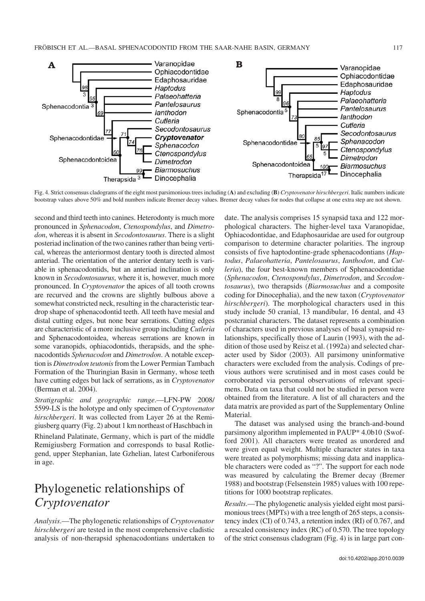

Fig. 4. Strict consensus cladograms of the eight most parsimonious trees including (**A**) and excluding (**B**) *Cryptovenator hirschbergeri*. Italic numbers indicate bootstrap values above 50% and bold numbers indicate Bremer decay values. Bremer decay values for nodes that collapse at one extra step are not shown.

second and third teeth into canines. Heterodonty is much more pronounced in *Sphenacodon*, *Ctenospondylus*, and *Dimetro− don*, whereas it is absent in *Secodontosaurus*. There is a slight posteriad inclination of the two canines rather than being verti− cal, whereas the anteriormost dentary tooth is directed almost anteriad. The orientation of the anterior dentary teeth is vari− able in sphenacodontids, but an anteriad inclination is only known in *Secodontosaurus*, where it is, however, much more pronounced. In *Cryptovenator* the apices of all tooth crowns are recurved and the crowns are slightly bulbous above a somewhat constricted neck, resulting in the characteristic tear− drop shape of sphenacodontid teeth. All teeth have mesial and distal cutting edges, but none bear serrations. Cutting edges are characteristic of a more inclusive group including *Cutleria* and Sphenacodontoidea, whereas serrations are known in some varanopids, ophiacodontids, therapsids, and the sphe− nacodontids *Sphenacodon* and *Dimetrodon*. A notable excep− tion is *Dimetrodon teutonis*from the Lower Permian Tambach Formation of the Thuringian Basin in Germany, whose teeth have cutting edges but lack of serrations, as in *Cryptovenator* (Berman et al. 2004).

*Stratigraphic and geographic range*.—LFN−PW 2008/ 5599−LS is the holotype and only specimen of *Cryptovenator hirschbergeri*. It was collected from Layer 26 at the Remi− giusberg quarry (Fig. 2) about 1 km northeast of Haschbach in

Rhineland Palatinate, Germany, which is part of the middle Remigiusberg Formation and corresponds to basal Rotlie− gend, upper Stephanian, late Gzhelian, latest Carboniferous in age.

# Phylogenetic relationships of *Cryptovenator*

*Analysis*.—The phylogenetic relationships of *Cryptovenator hirschbergeri* are tested in the most comprehensive cladistic analysis of non−therapsid sphenacodontians undertaken to date. The analysis comprises 15 synapsid taxa and 122 mor− phological characters. The higher−level taxa Varanopidae, Ophiacodontidae, and Edaphosauridae are used for outgroup comparison to determine character polarities. The ingroup consists of five haptodontine−grade sphenacodontians (*Hap− todus*, *Palaeohatteria*, *Pantelosaurus*, *Ianthodon*, and *Cut− leria*), the four best−known members of Sphenacodontidae (*Sphenacodon*, *Ctenospondylus*, *Dimetrodon*, and *Secodon− tosaurus*), two therapsids (*Biarmosuchus* and a composite coding for Dinocephalia), and the new taxon (*Cryptovenator hirschbergeri*). The morphological characters used in this study include 50 cranial, 13 mandibular, 16 dental, and 43 postcranial characters. The dataset represents a combination of characters used in previous analyses of basal synapsid re− lationships, specifically those of Laurin (1993), with the ad− dition of those used by Reisz et al. (1992a) and selected char− acter used by Sidor (2003). All parsimony uninformative characters were excluded from the analysis. Codings of pre− vious authors were scrutinised and in most cases could be corroborated via personal observations of relevant speci− mens. Data on taxa that could not be studied in person were obtained from the literature. A list of all characters and the data matrix are provided as part of the Supplementary Online Material.

The dataset was analysed using the branch−and−bound parsimony algorithm implemented in PAUP\* 4.0b10 (Swof− ford 2001). All characters were treated as unordered and were given equal weight. Multiple character states in taxa were treated as polymorphisms; missing data and inapplica− ble characters were coded as "?". The support for each node was measured by calculating the Bremer decay (Bremer 1988) and bootstrap (Felsenstein 1985) values with 100 repe− titions for 1000 bootstrap replicates.

*Results*.—The phylogenetic analysis yielded eight most parsi− monious trees (MPTs) with a tree length of 265 steps, a consis− tency index (CI) of 0.743, a retention index (RI) of 0.767, and a rescaled consistency index (RC) of 0.570. The tree topology of the strict consensus cladogram (Fig. 4) is in large part con−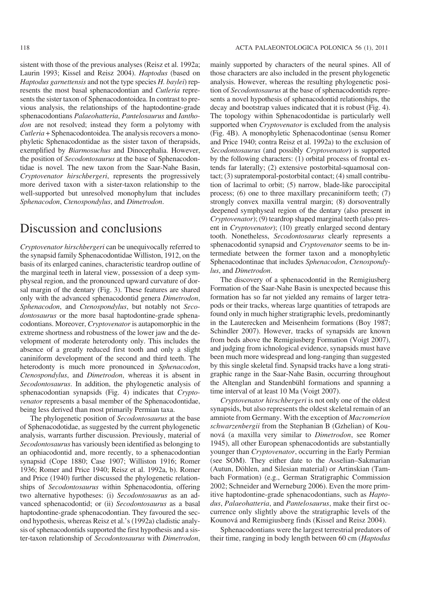resents the most basal sphenacodontian and *Cutleria* repre− sents the sister taxon of Sphenacodontoidea. In contrast to pre− vious analysis, the relationships of the haptodontine−grade sphenacodontians *Palaeohatteria*, *Pantelosaurus* and *Iantho− don* are not resolved; instead they form a polytomy with *Cutleria* + Sphenacodontoidea. The analysis recovers a mono− phyletic Sphenacodontidae as the sister taxon of therapsids, exemplified by *Biarmosuchus* and Dinocephalia. However, the position of *Secodontosaurus* at the base of Sphenacodon− tidae is novel. The new taxon from the Saar−Nahe Basin, *Cryptovenator hirschbergeri*, represents the progressively more derived taxon with a sister−taxon relationship to the well−supported but unresolved monophylum that includes *Sphenacodon*, *Ctenospondylus*, and *Dimetrodon*.

### Discussion and conclusions

*Cryptovenator hirschbergeri* can be unequivocally referred to the synapsid family Sphenacodontidae Williston, 1912, on the basis of its enlarged canines, characteristic teardrop outline of the marginal teeth in lateral view, possession of a deep sym− physeal region, and the pronounced upward curvature of dor− sal margin of the dentary (Fig. 3). These features are shared only with the advanced sphenacodontid genera *Dimetrodon*, *Sphenacodon*, and *Ctenospondylus*, but notably not *Seco− dontosaurus* or the more basal haptodontine−grade sphena− codontians. Moreover, *Cryptovenator* is autapomorphic in the extreme shortness and robustness of the lower jaw and the de− velopment of moderate heterodonty only. This includes the absence of a greatly reduced first tooth and only a slight caniniform development of the second and third teeth. The heterodonty is much more pronounced in *Sphenacodon*, *Ctenospondylus*, and *Dimetrodon*, whereas it is absent in *Secodontosaurus*. In addition, the phylogenetic analysis of sphenacodontian synapsids (Fig. 4) indicates that *Crypto− venator* represents a basal member of the Sphenacodontidae, being less derived than most primarily Permian taxa.

The phylogenetic position of *Secodontosaurus* at the base of Sphenacodotidae, as suggested by the current phylogenetic analysis, warrants further discussion. Previously, material of *Secodontosaurus* has variously been identified as belonging to an ophiacodontid and, more recently, to a sphenacodontian synapsid (Cope 1880; Case 1907; Williston 1916; Romer 1936; Romer and Price 1940; Reisz et al. 1992a, b). Romer and Price (1940) further discussed the phylogenetic relation− ships of *Secodontosaurus* within Sphenacodontia, offering two alternative hypotheses: (i) *Secodontosaurus* as an ad− vanced sphenacodontid; or (ii) *Secodontosaurus* as a basal haptodontine−grade sphenacodontian. They favoured the sec− ond hypothesis, whereas Reisz et al.'s (1992a) cladistic analy− sis of sphenacodontids supported the first hypothesis and a sis− ter−taxon relationship of *Secodontosaurus* with *Dimetrodon*,

mainly supported by characters of the neural spines. All of those characters are also included in the present phylogenetic analysis. However, whereas the resulting phylogenetic posi− tion of *Secodontosaurus* at the base of sphenacodontids repre− sents a novel hypothesis of sphenacodontid relationships, the decay and bootstrap values indicated that it is robust (Fig. 4). The topology within Sphenacodontidae is particularly well supported when *Cryptovenator* is excluded from the analysis (Fig. 4B). A monophyletic Sphenacodontinae (sensu Romer and Price 1940; contra Reisz et al. 1992a) to the exclusion of *Secodontosaurus* (and possibly *Cryptovenator*) is supported by the following characters: (1) orbital process of frontal ex− tends far laterally; (2) extensive postorbital−squamosal con− tact; (3) supratemporal−postorbital contact; (4) small contribu− tion of lacrimal to orbit; (5) narrow, blade−like paroccipital process; (6) one to three maxillary precaniniform teeth; (7) strongly convex maxilla ventral margin; (8) dorsoventrally deepened symphyseal region of the dentary (also present in *Cryptovenator*); (9) teardrop shaped marginal teeth (also pres− ent in *Cryptovenator*); (10) greatly enlarged second dentary tooth. Nonetheless, *Secodontosaurus* clearly represents a sphenacodontid synapsid and *Cryptovenator* seems to be in− termediate between the former taxon and a monophyletic Sphenacodontinae that includes *Sphenacodon*, *Ctenospondy− lus*, and *Dimetrodon*.

The discovery of a sphenacodontid in the Remigiusberg Formation of the Saar−Nahe Basin is unexpected because this formation has so far not yielded any remains of larger tetra− pods or their tracks, whereas large quantities of tetrapods are found only in much higher stratigraphic levels, predominantly in the Lauterecken and Meisenheim formations (Boy 1987; Schindler 2007). However, tracks of synapsids are known from beds above the Remigiusberg Formation (Voigt 2007), and judging from ichnological evidence, synapsids must have been much more widespread and long−ranging than suggested by this single skeletal find. Synapsid tracks have a long strati− graphic range in the Saar−Nahe Basin, occurring throughout the Altenglan and Standenbühl formations and spanning a time interval of at least 10 Ma (Voigt 2007).

*Cryptovenator hirschbergeri* is not only one of the oldest synapsids, but also represents the oldest skeletal remain of an amniote from Germany. With the exception of *Macromerion schwarzenbergii* from the Stephanian B (Gzhelian) of Kou− nová (a maxilla very similar to *Dimetrodon*, see Romer 1945), all other European sphenacodontids are substantially younger than *Cryptovenator*, occurring in the Early Permian (see SOM). They either date to the Asselian–Sakmarian (Autun, Döhlen, and Silesian material) or Artinskian (Tam− bach Formation) (e.g., German Stratigraphic Commission 2002; Schneider and Werneburg 2006). Even the more prim− itive haptodontine−grade sphenacodontians, such as *Hapto− dus*, *Palaeohatteria*, and *Pantelosaurus*, make their first oc− currence only slightly above the stratigraphic levels of the Kounová and Remigiusberg finds (Kissel and Reisz 2004).

Sphenacodontians were the largest terrestrial predators of their time, ranging in body length between 60 cm (*Haptodus*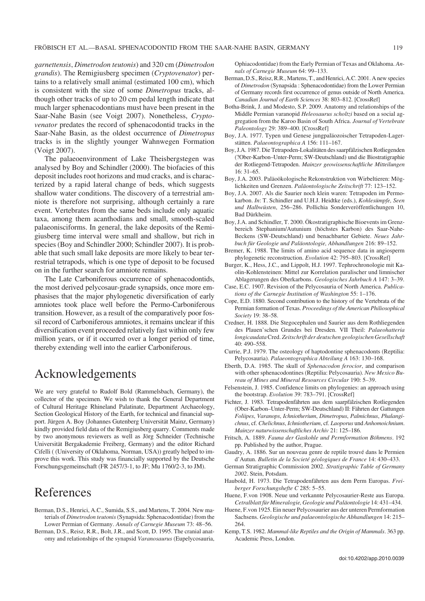*garnettensis*, *Dimetrodon teutonis*) and 320 cm (*Dimetrodon grandis*). The Remigiusberg specimen (*Cryptovenator*) per− tains to a relatively small animal (estimated 100 cm), which is consistent with the size of some *Dimetropus* tracks, al− though other tracks of up to 20 cm pedal length indicate that much larger sphenacodontians must have been present in the Saar−Nahe Basin (see Voigt 2007). Nonetheless, *Crypto− venator* predates the record of sphenacodontid tracks in the Saar−Nahe Basin, as the oldest occurrence of *Dimetropus* tracks is in the slightly younger Wahnwegen Formation (Voigt 2007).

The palaeoenvironment of Lake Theisbergstegen was analysed by Boy and Schindler (2000). The biofacies of this deposit includes root horizons and mud cracks, and is charac− terized by a rapid lateral change of beds, which suggests shallow water conditions. The discovery of a terrestrial am− niote is therefore not surprising, although certainly a rare event. Vertebrates from the same beds include only aquatic taxa, among them acanthodians and small, smooth−scaled palaeonisciforms. In general, the lake deposits of the Remi− giusberg time interval were small and shallow, but rich in species (Boy and Schindler 2000; Schindler 2007). It is prob− able that such small lake deposits are more likely to bear ter− restrial tetrapods, which is one type of deposit to be focused on in the further search for amniote remains.

The Late Carboniferous occurrence of sphenacodontids, the most derived pelycosaur−grade synapsids, once more em− phasises that the major phylogenetic diversification of early amniotes took place well before the Permo−Carboniferous transition. However, as a result of the comparatively poor fos− sil record of Carboniferous amniotes, it remains unclear if this diversification event proceeded relatively fast within only few million years, or if it occurred over a longer period of time, thereby extending well into the earlier Carboniferous.

## Acknowledgements

We are very grateful to Rudolf Bold (Rammelsbach, Germany), the collector of the specimen. We wish to thank the General Department of Cultural Heritage Rhineland Palatinate, Department Archaeology, Section Geological History of the Earth, for technical and financial sup− port. Jürgen A. Boy (Johannes Gutenberg Universität Mainz, Germany) kindly provided field data of the Remigiusberg quarry. Comments made by two anonymous reviewers as well as Jörg Schneider (Technische Universität Bergakademie Freiberg, Germany) and the editor Richard Cifelli ( (University of Oklahoma, Norman, USA)) greatly helped to im− prove this work. This study was financially supported by the Deutsche Forschungsgemeinschaft (FR 2457/3−1, to JF; Mu 1760/2−3, to JM).

### References

- Berman, D.S., Henrici, A.C., Sumida, S.S., and Martens, T. 2004. New ma− terials of *Dimetrodon teutonis*(Synapsida: Sphenacodontidae) from the Lower Permian of Germany. *Annals of Carnegie Museum* 73: 48–56.
- Berman, D.S., Reisz, R.R., Bolt, J.R., and Scott, D. 1995. The cranial anat− omy and relationships of the synapsid *Varanosaurus* (Eupelycosauria,

Ophiacodontidae) from the Early Permian of Texas and Oklahoma. *An− nals of Carnegie Museum* 64: 99–133.

- Berman, D.S., Reisz, R.R., Martens, T., and Henrici, A.C. 2001. A new species of *Dimetrodon* (Synapsida : Sphenacodontidae) from the Lower Permian of Germany records first occurrence of genus outside of North America. *Canadian Journal of Earth Sciences* 38: 803–812. [\[CrossRef\]](http://dx.doi.org/10.1139/cjes-38-5-803)
- Botha−Brink, J. and Modesto, S.P. 2009. Anatomy and relationships of the Middle Permian varanopid *Heleosaurus scholtzi* based on a social ag− gregation from the Karoo Basin of South Africa. *Journal of Vertebrate Paleontology* 29: 389–400. [\[CrossRef\]](http://dx.doi.org/10.1671/039.029.0209)
- Boy, J.A. 1977. Typen und Genese jungpaläozoischer Tetrapoden−Lager− stätten. *Palaeontographica A* 156: 111–167.
- Boy, J.A. 1987. Die Tetrapoden−Lokalitäten des saarpfälzischen Rotliegenden (?Ober−Karbon–Unter−Perm; SW−Deutschland) und die Biostratigraphie der Rotliegend−Tetrapoden. *Mainzer geowissenschaftliche Mitteilungen* 16: 31–65.
- Boy, J.A. 2003. Paläoökologische Rekonstruktion von Wirbeltieren: Mög− lichkeiten und Grenzen. *Paläontologische Zeitschrift* 77: 123–152.
- Boy, J.A. 2007. Als die Saurier noch klein waren: Tetrapoden im Permo− karbon. *In*: T. Schindler and U.H.J. Heidtke (eds.), *Kohlesümpfe, Seen und Halbwüsten*, 256–286. Pollichia Sonderveröffentlichungen 10, Bad Dürkheim.
- Boy, J.A. and Schindler, T. 2000. Ökostratigraphische Bioevents im Grenz− bereich Stephanium/Autunium (höchstes Karbon) des Saar−Nahe− Beckens (SW−Deutschland) und benachbarter Gebiete. *Neues Jahr− buch für Geologie und Paläontologie, Abhandlungen* 216: 89–152.
- Bremer, K. 1988. The limits of amino acid sequence data in angiosperm phylogenetic reconstruction. *Evolution* 42: 795–803. [[CrossRef\]](http://dx.doi.org/10.2307/2408870)
- Burger, K., Hess, J.C., and Lippolt, H.J. 1997. Tephrochronologie mit Ka− olin−Kohlensteinen: Mittel zur Korrelation paralischer und limnischer Ablagerungen des Oberkarbons. *Geologisches Jahrbuch A* 147: 3–39.
- Case, E.C. 1907. Revision of the Pelycosauria of North America. *Publica− tions of the Carnegie Institution of Washington* 55: 1–176.
- Cope, E.D. 1880. Second contribution to the history of the Vertebrata of the Permian formation of Texas. *Proceedings of the American Philiosophical Society* 19: 38–58.
- Credner, H. 1888. Die Stegocephalen und Saurier aus dem Rothliegenden des Plauen'schen Grundes bei Dresden. VII Theil: *Palaeohatteria longicaudata*Cred. *Zeitschrift der deutschen geologischen Gesellschaft* 40: 490–558.
- Currie, P.J. 1979. The osteology of haptodontine sphenacodonts (Reptilia: Pelycosauria). *Palaeontographica Abteilung A* 163: 130–168.
- Eberth, D.A. 1985. The skull of *Sphenacodon ferocior*, and comparison with other sphenacodontines (Reptilia: Pelycosauria). *New Mexico Bu− reau of Mines and Mineral Resources Circular* 190: 5–39.
- Felsenstein, J. 1985. Confidence limits on phylogenies: an approach using the bootstrap. *Evolution* 39: 783–791. [\[CrossRef\]](http://dx.doi.org/10.2307/2408870)
- Fichter, J. 1983. Tetrapodenfährten aus dem saarpfälzischen Rotliegenden (Ober−Karbon–Unter−Perm; SW−Deutschland) II: Fährten der Gattungen *Foliipes*, *Varanops*, *Ichniotherium*, *Dimetropus*, *Palmichnus*, *Phalangi− chnus*, cf. *Chelichnus*, *Ichniotherium*, cf. *Laoporus* und *Anhomoichnium*. *Mainzer naturwissenschaftliches Archiv* 21: 125–186.
- Fritsch, A. 1889. *Fauna der Gaskohle und Permformation Böhmens*. 192 pp. Published by the author, Prague.
- Gaudry, A. 1886. Sur un nouveau genre de reptile trouvé dans le Permien d'Autun. *Bulletin de la Societé géologiques de France* 14: 430–433.
- German Stratigraphic Commission 2002. *Stratigraphic Table of Germany 2002*. Stein, Potsdam.
- Haubold, H. 1973. Die Tetrapodenfährten aus dem Perm Europas. *Frei− berger Forschungshefte C* 285: 5–55.
- Huene, F.von 1908. Neue und verkannte Pelycosaurier−Reste aus Europa. *Cetralblatt für Mineralogie, Geologie und Paläontologie* 14: 431–434.
- Huene, F.von 1925. Ein neuer Pelycosaurier aus der unteren Permformation Sachsens. *Geologische und palaeontologische Abhandlungen* 14: 215– 264.
- Kemp, T.S. 1982. *Mammal−like Reptiles and the Origin of Mammals*. 363 pp. Academic Press, London.